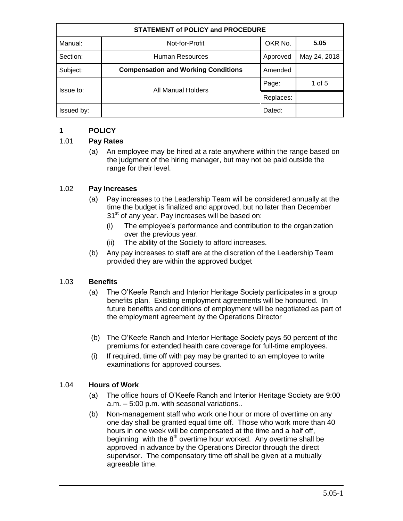| <b>STATEMENT of POLICY and PROCEDURE</b> |                                            |           |              |
|------------------------------------------|--------------------------------------------|-----------|--------------|
| Manual:                                  | Not-for-Profit                             | OKR No.   | 5.05         |
| Section:                                 | Human Resources                            | Approved  | May 24, 2018 |
| Subject:                                 | <b>Compensation and Working Conditions</b> | Amended   |              |
| Issue to:                                | All Manual Holders                         | Page:     | 1 of $5$     |
|                                          |                                            | Replaces: |              |
| Issued by:                               |                                            | Dated:    |              |

# **1 POLICY**

### 1.01 **Pay Rates**

(a) An employee may be hired at a rate anywhere within the range based on the judgment of the hiring manager, but may not be paid outside the range for their level.

### 1.02 **Pay Increases**

- (a) Pay increases to the Leadership Team will be considered annually at the time the budget is finalized and approved, but no later than December 31<sup>st</sup> of any year. Pay increases will be based on:
	- (i) The employee's performance and contribution to the organization over the previous year.
	- (ii) The ability of the Society to afford increases.
- (b) Any pay increases to staff are at the discretion of the Leadership Team provided they are within the approved budget

### 1.03 **Benefits**

- (a) The O'Keefe Ranch and Interior Heritage Society participates in a group benefits plan. Existing employment agreements will be honoured. In future benefits and conditions of employment will be negotiated as part of the employment agreement by the Operations Director
- (b) The O'Keefe Ranch and Interior Heritage Society pays 50 percent of the premiums for extended health care coverage for full-time employees.
- (i) If required, time off with pay may be granted to an employee to write examinations for approved courses.

### 1.04 **Hours of Work**

- (a) The office hours of O'Keefe Ranch and Interior Heritage Society are 9:00 a.m. – 5:00 p.m. with seasonal variations..
- (b) Non-management staff who work one hour or more of overtime on any one day shall be granted equal time off. Those who work more than 40 hours in one week will be compensated at the time and a half off, beginning with the  $8<sup>th</sup>$  overtime hour worked. Any overtime shall be approved in advance by the Operations Director through the direct supervisor. The compensatory time off shall be given at a mutually agreeable time.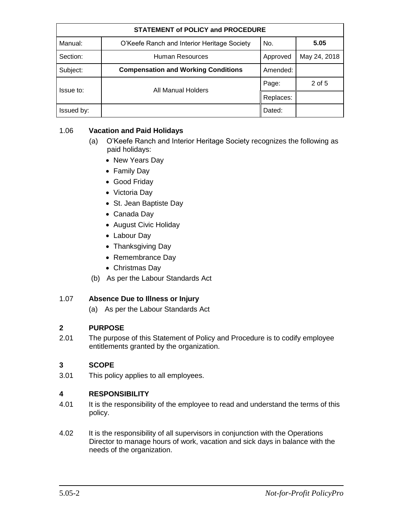| <b>STATEMENT of POLICY and PROCEDURE</b> |                                             |           |              |
|------------------------------------------|---------------------------------------------|-----------|--------------|
| Manual:                                  | O'Keefe Ranch and Interior Heritage Society | No.       | 5.05         |
| Section:                                 | Human Resources                             | Approved  | May 24, 2018 |
| Subject:                                 | <b>Compensation and Working Conditions</b>  | Amended:  |              |
| Issue to:                                | All Manual Holders                          | Page:     | 2 of 5       |
|                                          |                                             | Replaces: |              |
| Issued by:                               |                                             | Dated:    |              |

### 1.06 **Vacation and Paid Holidays**

- (a) O'Keefe Ranch and Interior Heritage Society recognizes the following as paid holidays:
	- New Years Day
	- Family Day
	- Good Friday
	- Victoria Day
	- St. Jean Baptiste Day
	- Canada Day
	- August Civic Holiday
	- Labour Day
	- Thanksgiving Day
	- Remembrance Day
	- Christmas Day
- (b) As per the Labour Standards Act

### 1.07 **Absence Due to Illness or Injury**

(a) As per the Labour Standards Act

### **2 PURPOSE**

2.01 The purpose of this Statement of Policy and Procedure is to codify employee entitlements granted by the organization.

# **3 SCOPE**

3.01 This policy applies to all employees.

### **4 RESPONSIBILITY**

- 4.01 It is the responsibility of the employee to read and understand the terms of this policy.
- 4.02 It is the responsibility of all supervisors in conjunction with the Operations Director to manage hours of work, vacation and sick days in balance with the needs of the organization.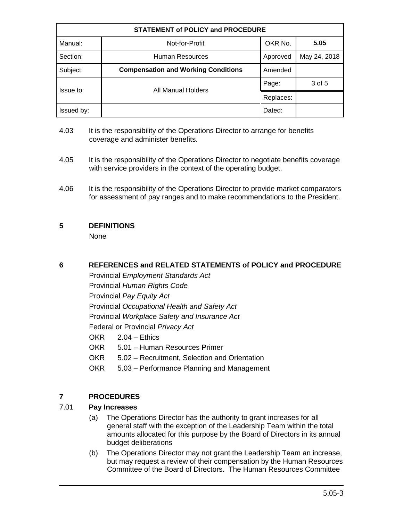| <b>STATEMENT of POLICY and PROCEDURE</b> |                                            |           |              |
|------------------------------------------|--------------------------------------------|-----------|--------------|
| Manual:                                  | Not-for-Profit                             | OKR No.   | 5.05         |
| Section:                                 | Human Resources                            | Approved  | May 24, 2018 |
| Subject:                                 | <b>Compensation and Working Conditions</b> | Amended   |              |
| Issue to:                                | All Manual Holders                         | Page:     | 3 of 5       |
|                                          |                                            | Replaces: |              |
| Issued by:                               |                                            | Dated:    |              |

- 4.03 It is the responsibility of the Operations Director to arrange for benefits coverage and administer benefits.
- 4.05 It is the responsibility of the Operations Director to negotiate benefits coverage with service providers in the context of the operating budget.
- 4.06 It is the responsibility of the Operations Director to provide market comparators for assessment of pay ranges and to make recommendations to the President.

### **5 DEFINITIONS**

None

### **6 REFERENCES and RELATED STATEMENTS of POLICY and PROCEDURE**

Provincial *Employment Standards Act* Provincial *Human Rights Code* Provincial *Pay Equity Act* Provincial *Occupational Health and Safety Act* Provincial *Workplace Safety and Insurance Act* Federal or Provincial *Privacy Act* OKR 2.04 – Ethics OKR 5.01 – Human Resources Primer OKR 5.02 – Recruitment, Selection and Orientation

OKR 5.03 – Performance Planning and Management

# **7 PROCEDURES**

# 7.01 **Pay Increases**

- (a) The Operations Director has the authority to grant increases for all general staff with the exception of the Leadership Team within the total amounts allocated for this purpose by the Board of Directors in its annual budget deliberations
- (b) The Operations Director may not grant the Leadership Team an increase, but may request a review of their compensation by the Human Resources Committee of the Board of Directors. The Human Resources Committee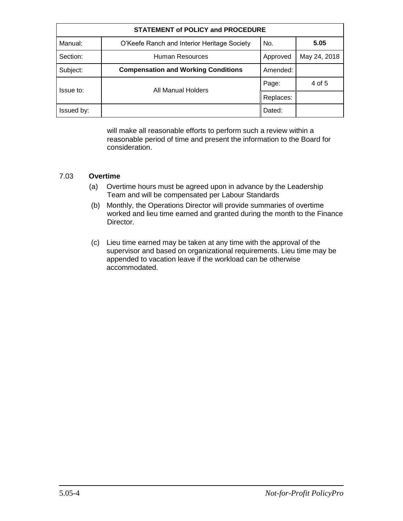| <b>STATEMENT of POLICY and PROCEDURE</b> |                                             |           |              |
|------------------------------------------|---------------------------------------------|-----------|--------------|
| Manual:                                  | O'Keefe Ranch and Interior Heritage Society | No.       | 5.05         |
| Section:                                 | Human Resources                             | Approved  | May 24, 2018 |
| Subject:                                 | <b>Compensation and Working Conditions</b>  | Amended:  |              |
| Issue to:                                | All Manual Holders                          | Page:     | 4 of 5       |
|                                          |                                             | Replaces: |              |
| Issued by:                               |                                             | Dated:    |              |

will make all reasonable efforts to perform such a review within a reasonable period of time and present the information to the Board for consideration.

#### 7.03 **Overtime**

- (a) Overtime hours must be agreed upon in advance by the Leadership Team and will be compensated per Labour Standards
- (b) Monthly, the Operations Director will provide summaries of overtime worked and lieu time earned and granted during the month to the Finance Director.
- (c) Lieu time earned may be taken at any time with the approval of the supervisor and based on organizational requirements. Lieu time may be appended to vacation leave if the workload can be otherwise accommodated.